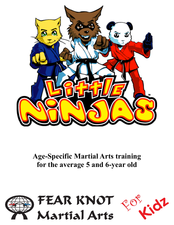

**Age-Specific Martial Arts training for the average 5 and 6-year old**

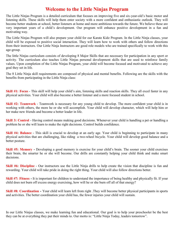## **Welcome to the Little Ninjas Program**

The Little Ninjas Program is a detailed curriculum that focuses on improving five and six-year-old's basic motor and listening skills. These skills will help them enter society with a more confident and enthusiastic outlook. They will become better students at school, better listeners at home and more ambitious towards the future. We believe these are very important years of a child's development. Our program will enhance positive development in a fun and motivating way.

The Little Ninjas Program will also prepare your child for our Karate Kidz Program. In the Little Ninja classes, your child will be exposed to positive social interaction. They will learn how to work with others and follow directions from their instructors. Our Little Ninja Instructors are good role models who are trained specifically to work with this age-group.

The little Ninjas curriculum consists of developing 8 Major Skills that are necessary for participation in any sport or activity. The curriculum also teaches Little Ninjas personal development skills that are used to reinforce family values. Upon completion of the Little Ninjas Program, your child will become focused and motivated to achieve any goal they set in life.

The 8 Little Ninja skill requirements are composed of physical and mental benefits. Following are the skills with the benefits from participating in the Little Ninja class:

**Skill #1: Focus** - This skill will help your child's aim, listening skills and reaction skills. They all excel faster in any physical activities. Your child will also become a better listener and a more focused student in school.

**Skill #2: Teamwork** - Teamwork is necessary for any young child to develop. The more confident your child is in working with others, the more he or she will accomplish. Your child will develop character, which will help him or her make new friends and become a better leader in life.

**Skill 3: Control** - Having control means making good decisions. Whenever your child is handling a pet or handling a problem he or she will learn to make the right decisions. Control builds confidence.

**Skill #4: Balance** - This skill is crucial to develop at an early age. Your child is beginning to participate in many physical activities that are challenging, like riding a two-wheel bicycle. Your child will develop good balance and a better posture.

**Skill #5: Memory** - Developing a good memory is exercise for your child's brain. The sooner your child exercises their brain, the smarter he or she will become. Our drills are constantly helping your child think and make smart decisions.

**Skill #6: Discipline** - Our instructors use the Little Ninja drills to help create the vision that discipline is fun and rewarding. Your child will take pride in doing the right thing. Your child will also follow directions better.

**Skill #7: Fitness -** It is important for children to understand the importance of being healthy and physically fit. If your child does not burn off excess energy exercising, how will he or she burn off all of that energy?

**Skill #8: Coordination** - Your child will learn left from right .They will become better physical participants in sports and activities. The better coordination your child has, the fewer injuries your child will sustain.

In our Little Ninjas classes, we make learning fun and educational. Our goal is to help your preschooler be the best they can be at everything they put their minds to. Our motto is: "Little Ninja Today, leaders tomorrow".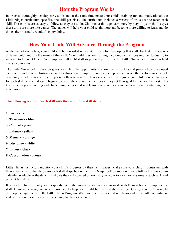## **How the Program Works**

In order to thoroughly develop early skills and at the same time make your child's training fun and motivational, the Little Ninjas curriculum specifies one skill per class. The curriculum includes a variety of drills used to teach each skill. These drills are as easy to follow as they are to do. Children at this age learn more by play. In your child's eyes these drills are more like games. The games will help your child retain more and become more willing to learn and do things they normally wouldn't enjoy doing.

## **How Your Child Will Advance Through the Program**

At the end of each class, your child will be rewarded with a skill stripe for developing that skill. Each skill stripe is a different color and has the name of that skill. Your child must earn all eight colored skill stripes in order to qualify to advance to the next level. Each ninja with all eight skill stripes will perform at the Little Ninjas belt promotion held every two months.

The Little Ninjas belt promotion gives your child the opportunity to show the instructors and parents how developed each skill has become. Instructors will evaluate each ninja to monitor their progress. After the performance, a belt ceremony is held to reward the ninjas with their new rank. Their rank advancement gives your child a new challenge for each skill. You child again begins to collect the colored skill stripes as they set their goal for the next belt test. This keeps the program exciting and challenging. Your child will learn how to set goals and achieve them by attaining their new ranks.

#### **The following is a list of each skill with the color of the skill stripe:**

- **1. Focus red**
- **2. Teamwork - blue**
- **3. Control - green**
- **4. Balance - yellow**
- **5. Memory - orange**
- **6. Discipline - white**
- **7. Fitness - black**
- **8. Coordination - brown**

Little Ninjas instructors monitor your child's progress by their skill stripes. Make sure your child is consistent with their attendance so that they earn each skill stripe before the Little Ninjas belt promotion. Please follow the curriculum calendar available at the desk that shows the skill covered on each day in order to avoid excess time at each rank and prevent boredom.

If your child has difficulty with a specific skill, the instructor will ask you to work with them at home to improve the skill. Homework assignments are provided to help your child be the best they can be. Our goal is to thoroughly develop the eight skills in the Little Ninjas Program. With your help, your child will learn and grow with commitment and dedication to excellence in everything that he or she does.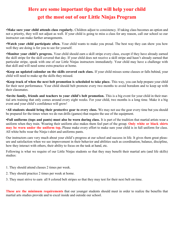# **Here are some important tips that will help your child get the most out of our Little Ninjas Program**

•**Make sure your child attends class regularly.** Children adjust to consistency. If taking class becomes an option and not a priority, they will not adjust as well. If your child is going to miss a class for any reason, call our school so our instructor can make further arrangements.

•**Watch your child participate often.** Your child wants to make you proud. The best way they can show you how well they are doing is for you to see for yourself.

•**Monitor your child's progress.** Your child should earn a skill stripe every class, except if they have already earned the skill stripe for the skill covered that day. If your child does not receive a skill stripe and hasn't already earned that particular stripe, speak with one of our Little Ninjas instructors immediately. Your child may have a challenge with that skill and will need some extra practice at home.

•**Keep an updated calendar on the skills covered each class.** If your child misses some classes or falls behind, your child will need to make up the skills they missed.

•**Keep track of when the next belt promotion is scheduled to take place.** This way, you can help prepare your child for their next performance. Your child should belt promote every two months to avoid boredom and to keep up with their classmates.

•**Invite family, friends and teachers to your child's belt promotion.** This is a big event for your child in their martial arts training that only comes around every eight weeks. For your child, two months is a long time. Make it a big event and your child's confidence will grow!

•**All students should bring their protective gear to every class.** We may not use the gear every time but you should be prepared for the times when we do run drills (games) that require the use of the equipment.

**•Full uniforms (tops and pants) must also be worn during class.** It is part of the tradition that martial artists wear a uniform when they train. Wearing their uniform also makes them feel part of the group. **Only white or black shirts may be worn under the uniform top.** Please make every effort to make sure your child is in full uniform for class. All white belts wear the Ninja t-shirt and uniforms pants.

Our instructors care very much about your child's progress at our school and success in life. It gives them great pleasure and satisfaction when we see improvement in their behavior and abilities such as coordination, balance, discipline, how they interact with others, their ability to focus on the task at hand, etc.

Following is what we require of our Little Ninjas students so that they may benefit their martial arts (and life skills) studies:

- 1. They should attend classes 2 times per week.
- 2. They should practice 2 times per week at home.
- 3. They must strive to earn all 8 colored belt stripes so that they may test for their next belt on time.

**These are the minimum requirements** that our younger students should meet in order to realize the benefits that martial arts studies provide and to excel inside and outside our school.